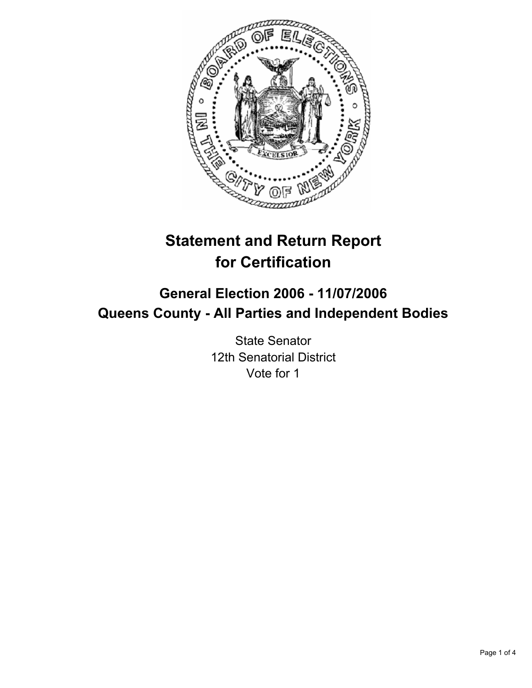

# **Statement and Return Report for Certification**

# **General Election 2006 - 11/07/2006 Queens County - All Parties and Independent Bodies**

State Senator 12th Senatorial District Vote for 1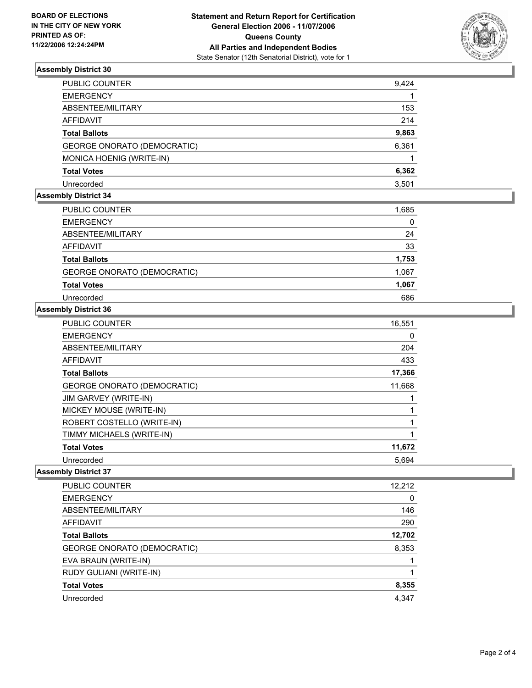

## **Assembly District 30**

| PUBLIC COUNTER                     | 9,424 |
|------------------------------------|-------|
| <b>EMERGENCY</b>                   |       |
| ABSENTEE/MILITARY                  | 153   |
| AFFIDAVIT                          | 214   |
| <b>Total Ballots</b>               | 9,863 |
| <b>GEORGE ONORATO (DEMOCRATIC)</b> | 6,361 |
| MONICA HOENIG (WRITE-IN)           |       |
| Total Votes                        | 6,362 |
| Unrecorded                         | 3,501 |

# **Assembly District 34**

| PUBLIC COUNTER                     | 1,685 |
|------------------------------------|-------|
| <b>EMERGENCY</b>                   | 0     |
| ABSENTEE/MILITARY                  | 24    |
| AFFIDAVIT                          | 33    |
| <b>Total Ballots</b>               | 1,753 |
| <b>GEORGE ONORATO (DEMOCRATIC)</b> | 1,067 |
| <b>Total Votes</b>                 | 1,067 |
| Unrecorded                         | 686   |

### **Assembly District 36**

| <b>PUBLIC COUNTER</b>              | 16,551 |
|------------------------------------|--------|
| <b>EMERGENCY</b>                   | 0      |
| ABSENTEE/MILITARY                  | 204    |
| AFFIDAVIT                          | 433    |
| <b>Total Ballots</b>               | 17,366 |
| <b>GEORGE ONORATO (DEMOCRATIC)</b> | 11,668 |
| JIM GARVEY (WRITE-IN)              |        |
| MICKEY MOUSE (WRITE-IN)            |        |
| ROBERT COSTELLO (WRITE-IN)         |        |
| TIMMY MICHAELS (WRITE-IN)          |        |
| <b>Total Votes</b>                 | 11,672 |
| Unrecorded                         | 5.694  |

# **Assembly District 37**

| PUBLIC COUNTER              | 12,212 |
|-----------------------------|--------|
| <b>EMERGENCY</b>            | 0      |
| ABSENTEE/MILITARY           | 146    |
| AFFIDAVIT                   | 290    |
| <b>Total Ballots</b>        | 12,702 |
| GEORGE ONORATO (DEMOCRATIC) | 8,353  |
| EVA BRAUN (WRITE-IN)        |        |
| RUDY GULIANI (WRITE-IN)     |        |
| <b>Total Votes</b>          | 8,355  |
| Unrecorded                  | 4,347  |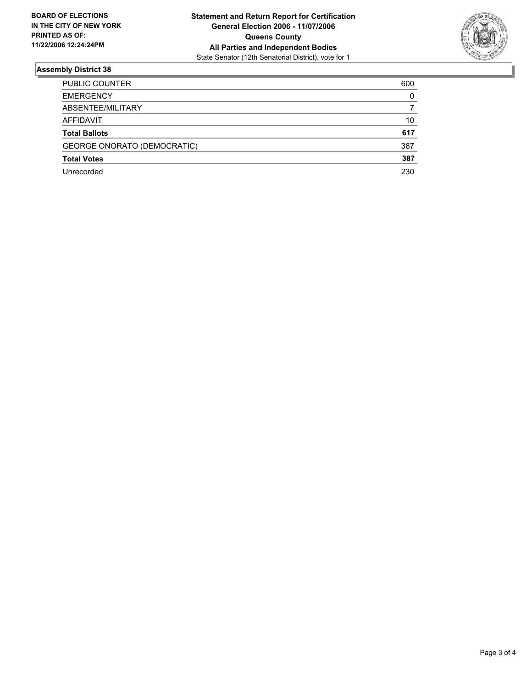

## **Assembly District 38**

| <b>PUBLIC COUNTER</b>              | 600 |
|------------------------------------|-----|
| <b>EMERGENCY</b>                   | 0   |
| ABSENTEE/MILITARY                  |     |
| AFFIDAVIT                          | 10  |
| <b>Total Ballots</b>               | 617 |
| <b>GEORGE ONORATO (DEMOCRATIC)</b> | 387 |
| <b>Total Votes</b>                 | 387 |
| Unrecorded                         | 230 |